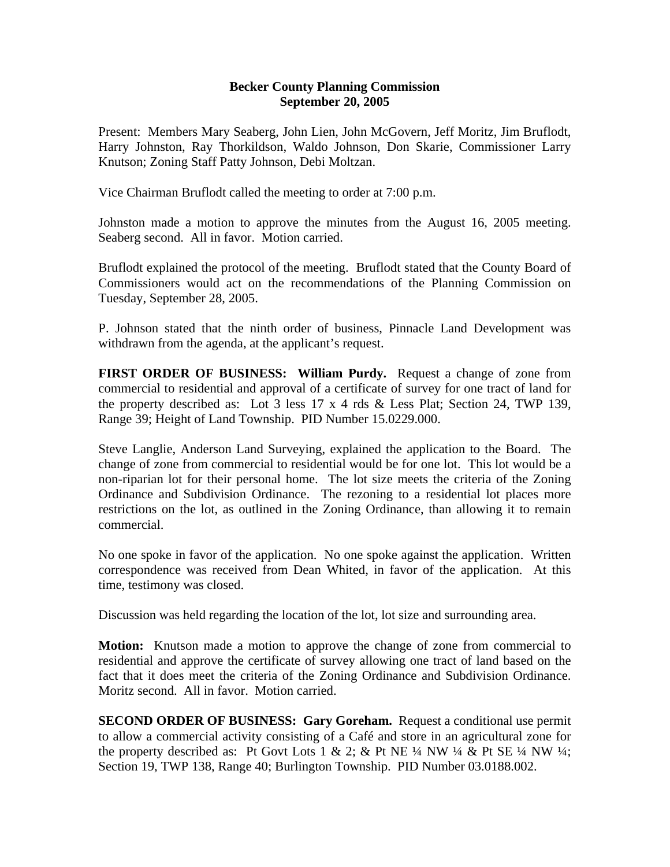## **Becker County Planning Commission September 20, 2005**

Present: Members Mary Seaberg, John Lien, John McGovern, Jeff Moritz, Jim Bruflodt, Harry Johnston, Ray Thorkildson, Waldo Johnson, Don Skarie, Commissioner Larry Knutson; Zoning Staff Patty Johnson, Debi Moltzan.

Vice Chairman Bruflodt called the meeting to order at 7:00 p.m.

Johnston made a motion to approve the minutes from the August 16, 2005 meeting. Seaberg second. All in favor. Motion carried.

Bruflodt explained the protocol of the meeting. Bruflodt stated that the County Board of Commissioners would act on the recommendations of the Planning Commission on Tuesday, September 28, 2005.

P. Johnson stated that the ninth order of business, Pinnacle Land Development was withdrawn from the agenda, at the applicant's request.

**FIRST ORDER OF BUSINESS: William Purdy.** Request a change of zone from commercial to residential and approval of a certificate of survey for one tract of land for the property described as: Lot 3 less 17 x 4 rds & Less Plat; Section 24, TWP 139, Range 39; Height of Land Township. PID Number 15.0229.000.

Steve Langlie, Anderson Land Surveying, explained the application to the Board. The change of zone from commercial to residential would be for one lot. This lot would be a non-riparian lot for their personal home. The lot size meets the criteria of the Zoning Ordinance and Subdivision Ordinance. The rezoning to a residential lot places more restrictions on the lot, as outlined in the Zoning Ordinance, than allowing it to remain commercial.

No one spoke in favor of the application. No one spoke against the application. Written correspondence was received from Dean Whited, in favor of the application. At this time, testimony was closed.

Discussion was held regarding the location of the lot, lot size and surrounding area.

**Motion:** Knutson made a motion to approve the change of zone from commercial to residential and approve the certificate of survey allowing one tract of land based on the fact that it does meet the criteria of the Zoning Ordinance and Subdivision Ordinance. Moritz second. All in favor. Motion carried.

**SECOND ORDER OF BUSINESS: Gary Goreham.** Request a conditional use permit to allow a commercial activity consisting of a Café and store in an agricultural zone for the property described as: Pt Govt Lots 1 & 2; & Pt NE  $\frac{1}{4}$  NW  $\frac{1}{4}$  & Pt SE  $\frac{1}{4}$  NW  $\frac{1}{4}$ ; Section 19, TWP 138, Range 40; Burlington Township. PID Number 03.0188.002.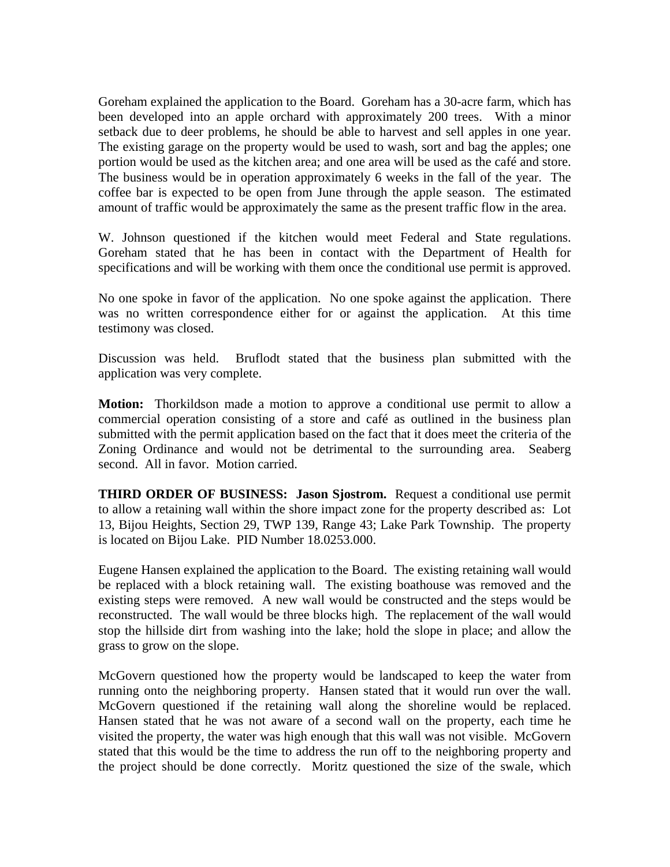Goreham explained the application to the Board. Goreham has a 30-acre farm, which has been developed into an apple orchard with approximately 200 trees. With a minor setback due to deer problems, he should be able to harvest and sell apples in one year. The existing garage on the property would be used to wash, sort and bag the apples; one portion would be used as the kitchen area; and one area will be used as the café and store. The business would be in operation approximately 6 weeks in the fall of the year. The coffee bar is expected to be open from June through the apple season. The estimated amount of traffic would be approximately the same as the present traffic flow in the area.

W. Johnson questioned if the kitchen would meet Federal and State regulations. Goreham stated that he has been in contact with the Department of Health for specifications and will be working with them once the conditional use permit is approved.

No one spoke in favor of the application. No one spoke against the application. There was no written correspondence either for or against the application. At this time testimony was closed.

Discussion was held. Bruflodt stated that the business plan submitted with the application was very complete.

**Motion:** Thorkildson made a motion to approve a conditional use permit to allow a commercial operation consisting of a store and café as outlined in the business plan submitted with the permit application based on the fact that it does meet the criteria of the Zoning Ordinance and would not be detrimental to the surrounding area. Seaberg second. All in favor. Motion carried.

**THIRD ORDER OF BUSINESS: Jason Sjostrom.** Request a conditional use permit to allow a retaining wall within the shore impact zone for the property described as: Lot 13, Bijou Heights, Section 29, TWP 139, Range 43; Lake Park Township. The property is located on Bijou Lake. PID Number 18.0253.000.

Eugene Hansen explained the application to the Board. The existing retaining wall would be replaced with a block retaining wall. The existing boathouse was removed and the existing steps were removed. A new wall would be constructed and the steps would be reconstructed. The wall would be three blocks high. The replacement of the wall would stop the hillside dirt from washing into the lake; hold the slope in place; and allow the grass to grow on the slope.

McGovern questioned how the property would be landscaped to keep the water from running onto the neighboring property. Hansen stated that it would run over the wall. McGovern questioned if the retaining wall along the shoreline would be replaced. Hansen stated that he was not aware of a second wall on the property, each time he visited the property, the water was high enough that this wall was not visible. McGovern stated that this would be the time to address the run off to the neighboring property and the project should be done correctly. Moritz questioned the size of the swale, which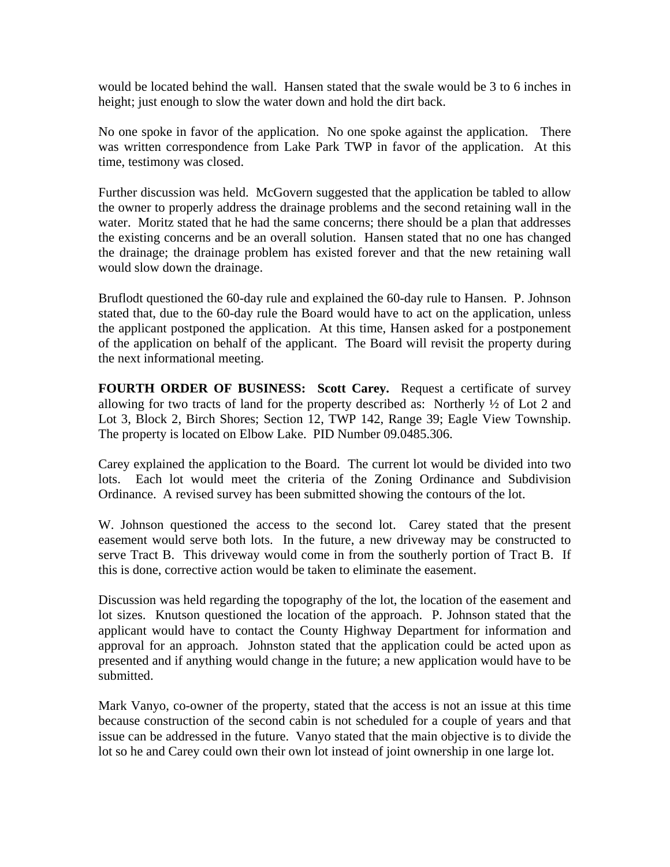would be located behind the wall. Hansen stated that the swale would be 3 to 6 inches in height; just enough to slow the water down and hold the dirt back.

No one spoke in favor of the application. No one spoke against the application. There was written correspondence from Lake Park TWP in favor of the application. At this time, testimony was closed.

Further discussion was held. McGovern suggested that the application be tabled to allow the owner to properly address the drainage problems and the second retaining wall in the water. Moritz stated that he had the same concerns; there should be a plan that addresses the existing concerns and be an overall solution. Hansen stated that no one has changed the drainage; the drainage problem has existed forever and that the new retaining wall would slow down the drainage.

Bruflodt questioned the 60-day rule and explained the 60-day rule to Hansen. P. Johnson stated that, due to the 60-day rule the Board would have to act on the application, unless the applicant postponed the application. At this time, Hansen asked for a postponement of the application on behalf of the applicant. The Board will revisit the property during the next informational meeting.

**FOURTH ORDER OF BUSINESS: Scott Carey.** Request a certificate of survey allowing for two tracts of land for the property described as: Northerly ½ of Lot 2 and Lot 3, Block 2, Birch Shores; Section 12, TWP 142, Range 39; Eagle View Township. The property is located on Elbow Lake. PID Number 09.0485.306.

Carey explained the application to the Board. The current lot would be divided into two lots. Each lot would meet the criteria of the Zoning Ordinance and Subdivision Ordinance. A revised survey has been submitted showing the contours of the lot.

W. Johnson questioned the access to the second lot. Carey stated that the present easement would serve both lots. In the future, a new driveway may be constructed to serve Tract B. This driveway would come in from the southerly portion of Tract B. If this is done, corrective action would be taken to eliminate the easement.

Discussion was held regarding the topography of the lot, the location of the easement and lot sizes. Knutson questioned the location of the approach. P. Johnson stated that the applicant would have to contact the County Highway Department for information and approval for an approach. Johnston stated that the application could be acted upon as presented and if anything would change in the future; a new application would have to be submitted.

Mark Vanyo, co-owner of the property, stated that the access is not an issue at this time because construction of the second cabin is not scheduled for a couple of years and that issue can be addressed in the future. Vanyo stated that the main objective is to divide the lot so he and Carey could own their own lot instead of joint ownership in one large lot.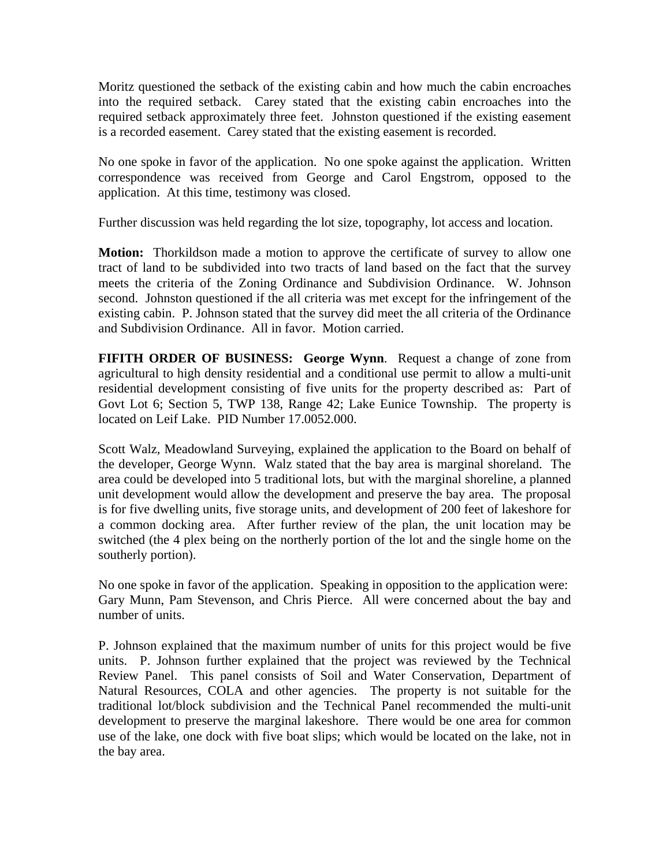Moritz questioned the setback of the existing cabin and how much the cabin encroaches into the required setback. Carey stated that the existing cabin encroaches into the required setback approximately three feet. Johnston questioned if the existing easement is a recorded easement. Carey stated that the existing easement is recorded.

No one spoke in favor of the application. No one spoke against the application. Written correspondence was received from George and Carol Engstrom, opposed to the application. At this time, testimony was closed.

Further discussion was held regarding the lot size, topography, lot access and location.

**Motion:** Thorkildson made a motion to approve the certificate of survey to allow one tract of land to be subdivided into two tracts of land based on the fact that the survey meets the criteria of the Zoning Ordinance and Subdivision Ordinance. W. Johnson second. Johnston questioned if the all criteria was met except for the infringement of the existing cabin. P. Johnson stated that the survey did meet the all criteria of the Ordinance and Subdivision Ordinance. All in favor. Motion carried.

**FIFITH ORDER OF BUSINESS: George Wynn**. Request a change of zone from agricultural to high density residential and a conditional use permit to allow a multi-unit residential development consisting of five units for the property described as: Part of Govt Lot 6; Section 5, TWP 138, Range 42; Lake Eunice Township. The property is located on Leif Lake. PID Number 17.0052.000.

Scott Walz, Meadowland Surveying, explained the application to the Board on behalf of the developer, George Wynn. Walz stated that the bay area is marginal shoreland. The area could be developed into 5 traditional lots, but with the marginal shoreline, a planned unit development would allow the development and preserve the bay area. The proposal is for five dwelling units, five storage units, and development of 200 feet of lakeshore for a common docking area. After further review of the plan, the unit location may be switched (the 4 plex being on the northerly portion of the lot and the single home on the southerly portion).

No one spoke in favor of the application. Speaking in opposition to the application were: Gary Munn, Pam Stevenson, and Chris Pierce. All were concerned about the bay and number of units.

P. Johnson explained that the maximum number of units for this project would be five units. P. Johnson further explained that the project was reviewed by the Technical Review Panel. This panel consists of Soil and Water Conservation, Department of Natural Resources, COLA and other agencies. The property is not suitable for the traditional lot/block subdivision and the Technical Panel recommended the multi-unit development to preserve the marginal lakeshore. There would be one area for common use of the lake, one dock with five boat slips; which would be located on the lake, not in the bay area.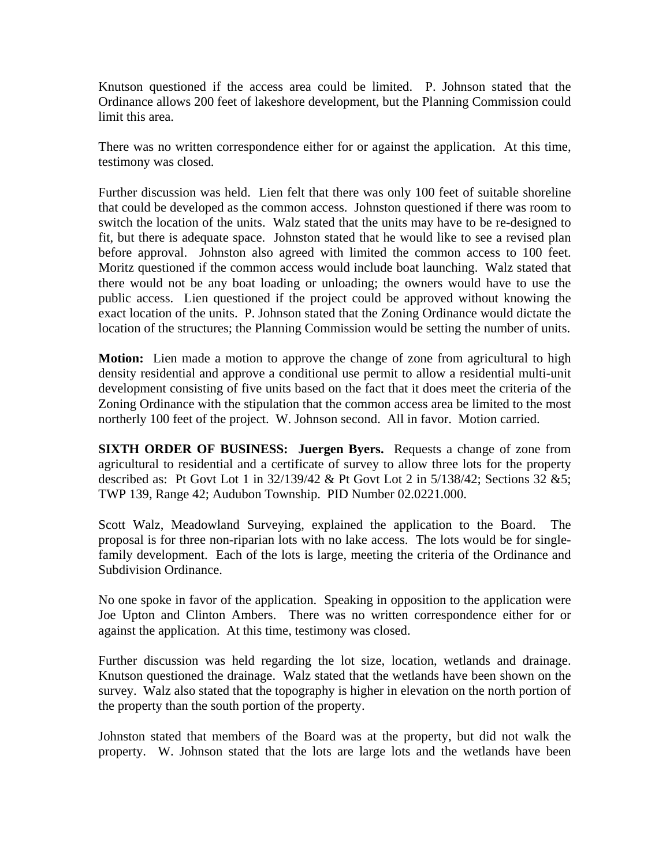Knutson questioned if the access area could be limited. P. Johnson stated that the Ordinance allows 200 feet of lakeshore development, but the Planning Commission could limit this area.

There was no written correspondence either for or against the application. At this time, testimony was closed.

Further discussion was held. Lien felt that there was only 100 feet of suitable shoreline that could be developed as the common access. Johnston questioned if there was room to switch the location of the units. Walz stated that the units may have to be re-designed to fit, but there is adequate space. Johnston stated that he would like to see a revised plan before approval. Johnston also agreed with limited the common access to 100 feet. Moritz questioned if the common access would include boat launching. Walz stated that there would not be any boat loading or unloading; the owners would have to use the public access. Lien questioned if the project could be approved without knowing the exact location of the units. P. Johnson stated that the Zoning Ordinance would dictate the location of the structures; the Planning Commission would be setting the number of units.

**Motion:** Lien made a motion to approve the change of zone from agricultural to high density residential and approve a conditional use permit to allow a residential multi-unit development consisting of five units based on the fact that it does meet the criteria of the Zoning Ordinance with the stipulation that the common access area be limited to the most northerly 100 feet of the project. W. Johnson second. All in favor. Motion carried.

**SIXTH ORDER OF BUSINESS: Juergen Byers.** Requests a change of zone from agricultural to residential and a certificate of survey to allow three lots for the property described as: Pt Govt Lot 1 in 32/139/42 & Pt Govt Lot 2 in 5/138/42; Sections 32 &5; TWP 139, Range 42; Audubon Township. PID Number 02.0221.000.

Scott Walz, Meadowland Surveying, explained the application to the Board. The proposal is for three non-riparian lots with no lake access. The lots would be for singlefamily development. Each of the lots is large, meeting the criteria of the Ordinance and Subdivision Ordinance.

No one spoke in favor of the application. Speaking in opposition to the application were Joe Upton and Clinton Ambers. There was no written correspondence either for or against the application. At this time, testimony was closed.

Further discussion was held regarding the lot size, location, wetlands and drainage. Knutson questioned the drainage. Walz stated that the wetlands have been shown on the survey. Walz also stated that the topography is higher in elevation on the north portion of the property than the south portion of the property.

Johnston stated that members of the Board was at the property, but did not walk the property. W. Johnson stated that the lots are large lots and the wetlands have been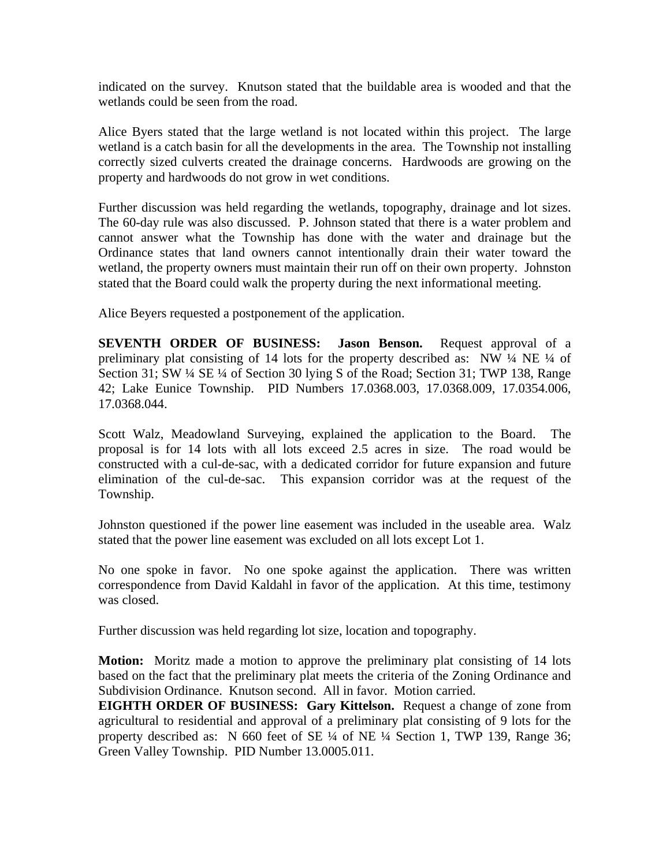indicated on the survey. Knutson stated that the buildable area is wooded and that the wetlands could be seen from the road.

Alice Byers stated that the large wetland is not located within this project. The large wetland is a catch basin for all the developments in the area. The Township not installing correctly sized culverts created the drainage concerns. Hardwoods are growing on the property and hardwoods do not grow in wet conditions.

Further discussion was held regarding the wetlands, topography, drainage and lot sizes. The 60-day rule was also discussed. P. Johnson stated that there is a water problem and cannot answer what the Township has done with the water and drainage but the Ordinance states that land owners cannot intentionally drain their water toward the wetland, the property owners must maintain their run off on their own property. Johnston stated that the Board could walk the property during the next informational meeting.

Alice Beyers requested a postponement of the application.

**SEVENTH ORDER OF BUSINESS: Jason Benson.** Request approval of a preliminary plat consisting of 14 lots for the property described as: NW ¼ NE ¼ of Section 31; SW ¼ SE ¼ of Section 30 lying S of the Road; Section 31; TWP 138, Range 42; Lake Eunice Township. PID Numbers 17.0368.003, 17.0368.009, 17.0354.006, 17.0368.044.

Scott Walz, Meadowland Surveying, explained the application to the Board. The proposal is for 14 lots with all lots exceed 2.5 acres in size. The road would be constructed with a cul-de-sac, with a dedicated corridor for future expansion and future elimination of the cul-de-sac. This expansion corridor was at the request of the Township.

Johnston questioned if the power line easement was included in the useable area. Walz stated that the power line easement was excluded on all lots except Lot 1.

No one spoke in favor. No one spoke against the application. There was written correspondence from David Kaldahl in favor of the application. At this time, testimony was closed.

Further discussion was held regarding lot size, location and topography.

**Motion:** Moritz made a motion to approve the preliminary plat consisting of 14 lots based on the fact that the preliminary plat meets the criteria of the Zoning Ordinance and Subdivision Ordinance. Knutson second. All in favor. Motion carried.

**EIGHTH ORDER OF BUSINESS: Gary Kittelson.** Request a change of zone from agricultural to residential and approval of a preliminary plat consisting of 9 lots for the property described as: N 660 feet of SE ¼ of NE ¼ Section 1, TWP 139, Range 36; Green Valley Township. PID Number 13.0005.011.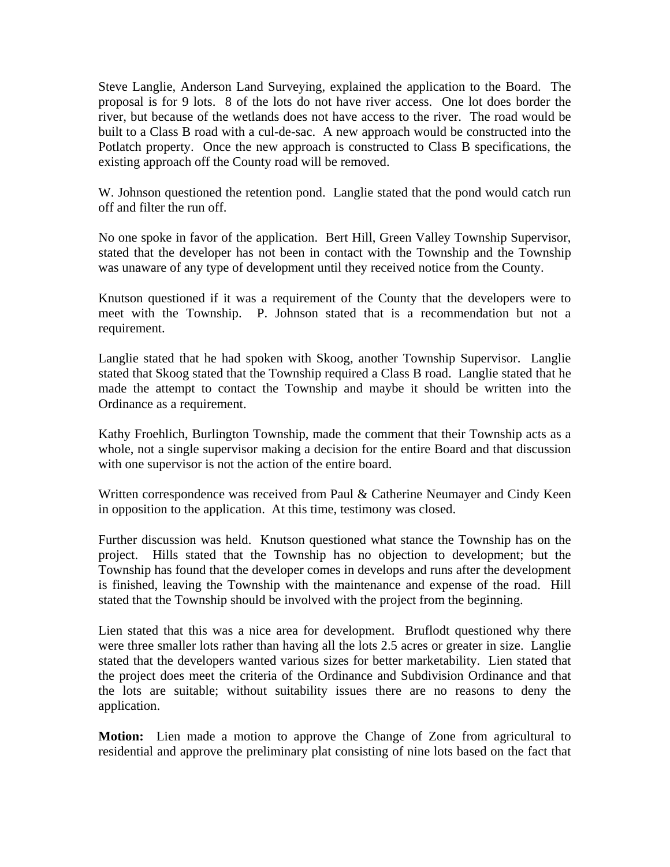Steve Langlie, Anderson Land Surveying, explained the application to the Board. The proposal is for 9 lots. 8 of the lots do not have river access. One lot does border the river, but because of the wetlands does not have access to the river. The road would be built to a Class B road with a cul-de-sac. A new approach would be constructed into the Potlatch property. Once the new approach is constructed to Class B specifications, the existing approach off the County road will be removed.

W. Johnson questioned the retention pond. Langlie stated that the pond would catch run off and filter the run off.

No one spoke in favor of the application. Bert Hill, Green Valley Township Supervisor, stated that the developer has not been in contact with the Township and the Township was unaware of any type of development until they received notice from the County.

Knutson questioned if it was a requirement of the County that the developers were to meet with the Township. P. Johnson stated that is a recommendation but not a requirement.

Langlie stated that he had spoken with Skoog, another Township Supervisor. Langlie stated that Skoog stated that the Township required a Class B road. Langlie stated that he made the attempt to contact the Township and maybe it should be written into the Ordinance as a requirement.

Kathy Froehlich, Burlington Township, made the comment that their Township acts as a whole, not a single supervisor making a decision for the entire Board and that discussion with one supervisor is not the action of the entire board.

Written correspondence was received from Paul & Catherine Neumayer and Cindy Keen in opposition to the application. At this time, testimony was closed.

Further discussion was held. Knutson questioned what stance the Township has on the project. Hills stated that the Township has no objection to development; but the Township has found that the developer comes in develops and runs after the development is finished, leaving the Township with the maintenance and expense of the road. Hill stated that the Township should be involved with the project from the beginning.

Lien stated that this was a nice area for development. Bruflodt questioned why there were three smaller lots rather than having all the lots 2.5 acres or greater in size. Langlie stated that the developers wanted various sizes for better marketability. Lien stated that the project does meet the criteria of the Ordinance and Subdivision Ordinance and that the lots are suitable; without suitability issues there are no reasons to deny the application.

**Motion:** Lien made a motion to approve the Change of Zone from agricultural to residential and approve the preliminary plat consisting of nine lots based on the fact that